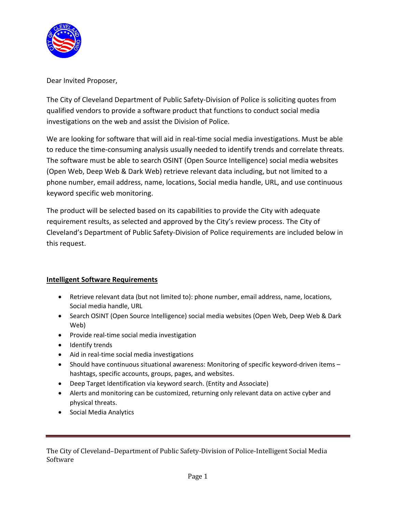

Dear Invited Proposer,

The City of Cleveland Department of Public Safety-Division of Police is soliciting quotes from qualified vendors to provide a software product that functions to conduct social media investigations on the web and assist the Division of Police.

We are looking for software that will aid in real-time social media investigations. Must be able to reduce the time-consuming analysis usually needed to identify trends and correlate threats. The software must be able to search OSINT (Open Source Intelligence) social media websites (Open Web, Deep Web & Dark Web) retrieve relevant data including, but not limited to a phone number, email address, name, locations, Social media handle, URL, and use continuous keyword specific web monitoring.

The product will be selected based on its capabilities to provide the City with adequate requirement results, as selected and approved by the City's review process. The City of Cleveland's Department of Public Safety-Division of Police requirements are included below in this request.

# **Intelligent Software Requirements**

- Retrieve relevant data (but not limited to): phone number, email address, name, locations, Social media handle, URL
- Search OSINT (Open Source Intelligence) social media websites (Open Web, Deep Web & Dark Web)
- Provide real-time social media investigation
- Identify trends
- Aid in real-time social media investigations
- Should have continuous situational awareness: Monitoring of specific keyword-driven items hashtags, specific accounts, groups, pages, and websites.
- Deep Target Identification via keyword search. (Entity and Associate)
- Alerts and monitoring can be customized, returning only relevant data on active cyber and physical threats.
- Social Media Analytics

The City of Cleveland–Department of Public Safety-Division of Police-Intelligent Social Media Software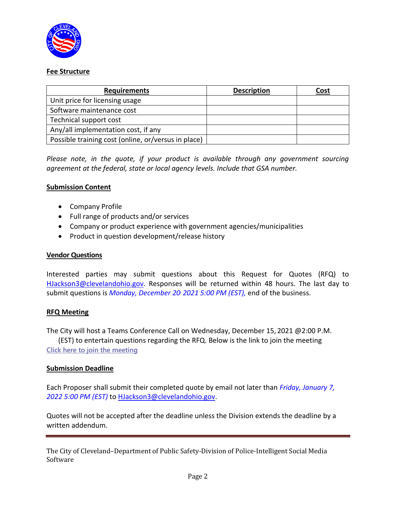

## **Fee Structure**

| <b>Requirements</b>                                 | <b>Description</b> | <u>Cost</u> |
|-----------------------------------------------------|--------------------|-------------|
| Unit price for licensing usage                      |                    |             |
| Software maintenance cost                           |                    |             |
| Technical support cost                              |                    |             |
| Any/all implementation cost, if any                 |                    |             |
| Possible training cost (online, or/versus in place) |                    |             |

*Please note, in the quote, if your product is available through any government sourcing agreement at the federal, state or local agency levels. Include that GSA number.* 

## **Submission Content**

- Company Profile
- Full range of products and/or services
- Company or product experience with government agencies/municipalities
- Product in question development/release history

#### **Vendor Questions**

Interested parties may submit questions about this Request for Quotes (RFQ) to [HJackson3@clevelandohio.gov.](mailto:HJackson3@clevelandohio.gov) Responses will be returned within 48 hours. The last day to submit questions is *Monday, December 20, 2021 5:00 PM (EST),* end of the business.

# **RFQ Meeting**

The City will host a Teams Conference Call on Wednesday, December 15, 2021 @2:00 P.M. (EST) to entertain questions regarding the RFQ. Below is the link to join the meeting **[Click here to join the meeting](https://teams.microsoft.com/l/meetup-join/19%3ameeting_MmRlMDA5NGEtNGJiZS00NGRlLWFlMWUtNDEzM2E2YTJhNGNi%40thread.v2/0?context=%7b%22Tid%22%3a%2276e2f963-8a1d-45bf-8e06-87a368508b40%22%2c%22Oid%22%3a%22be8b7147-26de-4993-be1d-b08466f479c4%22%7d)**

#### **Submission Deadline**

Each Proposer shall submit their completed quote by email not later than *Friday, January 7, 2022 5:00 PM (EST)* to [HJackson3@clevelandohio.gov.](mailto:HJackson3@clevelandohio.gov)

Quotes will not be accepted after the deadline unless the Division extends the deadline by a written addendum.

The City of Cleveland–Department of Public Safety-Division of Police-Intelligent Social Media Software